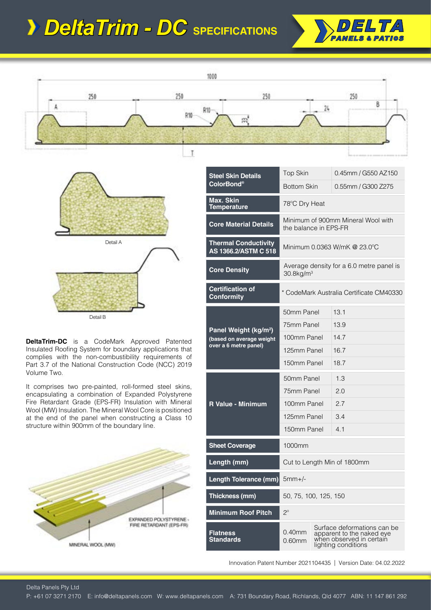## *DeltaTrim - DC* **SPECIFICATIONS**







**DeltaTrim-DC** is a CodeMark Approved Patented Insulated Roofing System for boundary applications that complies with the non-combustibility requirements of Part 3.7 of the National Construction Code (NCC) 2019 Volume Two.

It comprises two pre-painted, roll-formed steel skins, encapsulating a combination of Expanded Polystyrene Fire Retardant Grade (EPS-FR) Insulation with Mineral Wool (MW) Insulation. The Mineral Wool Core is positioned at the end of the panel when constructing a Class 10 structure within 900mm of the boundary line.



| <b>Steel Skin Details</b>                                     | Top Skin                                                             |  | 0.45mm / G550 AZ150                                                                                         |  |
|---------------------------------------------------------------|----------------------------------------------------------------------|--|-------------------------------------------------------------------------------------------------------------|--|
| <b>ColorBond®</b>                                             | <b>Bottom Skin</b>                                                   |  | 0.55mm / G300 Z275                                                                                          |  |
| Max. Skin<br><b>Temperature</b>                               | 78°C Dry Heat                                                        |  |                                                                                                             |  |
| <b>Core Material Details</b>                                  | Minimum of 900mm Mineral Wool with<br>the balance in EPS-FR          |  |                                                                                                             |  |
| <b>Thermal Conductivity</b><br>AS 1366.2/ASTM C 518           |                                                                      |  |                                                                                                             |  |
| <b>Core Density</b>                                           | Average density for a 6.0 metre panel is<br>$30.8$ kg/m <sup>3</sup> |  |                                                                                                             |  |
| <b>Certification of</b><br><b>Conformity</b>                  | * CodeMark Australia Certificate CM40330                             |  |                                                                                                             |  |
| Panel Weight (kg/m <sup>2</sup> )<br>(based on average weight | 50mm Panel                                                           |  | 13.1                                                                                                        |  |
|                                                               | 75mm Panel                                                           |  | 13.9                                                                                                        |  |
|                                                               | 100mm Panel                                                          |  | 14.7                                                                                                        |  |
| over a 6 metre panel)                                         | 125mm Panel                                                          |  | 16.7                                                                                                        |  |
|                                                               | 150mm Panel                                                          |  | 18.7                                                                                                        |  |
| <b>R Value - Minimum</b>                                      | 50mm Panel                                                           |  | 1.3                                                                                                         |  |
|                                                               | 75mm Panel                                                           |  | 2.0                                                                                                         |  |
|                                                               | 100mm Panel                                                          |  | 2.7                                                                                                         |  |
|                                                               | 125mm Panel                                                          |  | 3.4                                                                                                         |  |
|                                                               | 150mm Panel                                                          |  | 4.1                                                                                                         |  |
| <b>Sheet Coverage</b>                                         | 1000mm                                                               |  |                                                                                                             |  |
| Length (mm)                                                   | Cut to Length Min of 1800mm                                          |  |                                                                                                             |  |
| Length Tolerance (mm)                                         | $5mm+/-$                                                             |  |                                                                                                             |  |
| Thickness (mm)                                                | 50, 75, 100, 125, 150                                                |  |                                                                                                             |  |
| <b>Minimum Roof Pitch</b>                                     | $2^{\circ}$                                                          |  |                                                                                                             |  |
| Flatness<br><b>Standards</b>                                  | 0.40mm<br>$0.60$ mm                                                  |  | Surface deformations can be<br>apparent to the naked eye<br>when observed in certain<br>lighting conditions |  |

Innovation Patent Number 2021104435 | Version Date: 04.02.2022

Delta Panels Pty Ltd